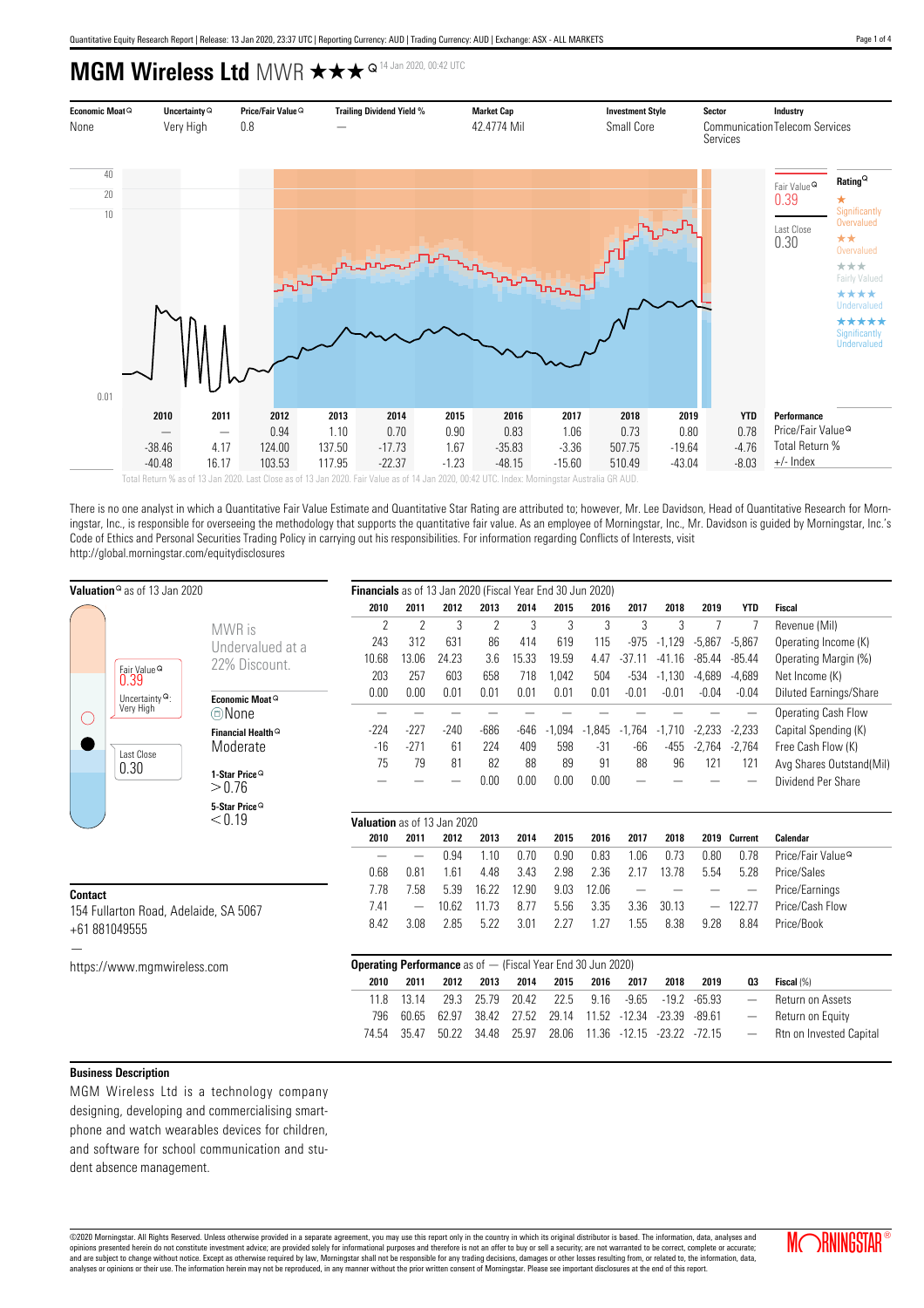**MGM Wireless Ltd** MWR  $\star \star \star^{\varpi_{14 \text{ Jan } 2020, 00: 42 \text{ UTC}}}$ 



There is no one analyst in which a Quantitative Fair Value Estimate and Quantitative Star Rating are attributed to; however, Mr. Lee Davidson, Head of Quantitative Research for Morningstar, Inc., is responsible for overseeing the methodology that supports the quantitative fair value. As an employee of Morningstar, Inc., Mr. Davidson is guided by Morningstar, Inc.'s Code of Ethics and Personal Securities Trading Policy in carrying out his responsibilities. For information regarding Conflicts of Interests, visit http://global.morningstar.com/equitydisclosures

|                             | <b>Valuation</b> <sup>®</sup> as of 13 Jan 2020                               | Financials as of 13 Jan 2020 (Fiscal Year End 30 Jun 2020) |                                                                      |               |        |                |        |          |            |          |                          |          |                 |                               |
|-----------------------------|-------------------------------------------------------------------------------|------------------------------------------------------------|----------------------------------------------------------------------|---------------|--------|----------------|--------|----------|------------|----------|--------------------------|----------|-----------------|-------------------------------|
|                             |                                                                               |                                                            | 2010                                                                 | 2011          | 2012   | 2013           | 2014   | 2015     | 2016       | 2017     | 2018                     | 2019     | <b>YTD</b>      | Fiscal                        |
|                             | Fair Value <sup>Q</sup><br>0.39<br>Uncertainty $^{\mathbf{Q}}$ :<br>Very High | MWR is                                                     | $\gamma$                                                             | $\mathcal{P}$ | 3      | $\overline{2}$ | 3      | 3        | 3          | 3        | 3                        |          |                 | Revenue (Mil)                 |
|                             |                                                                               | Undervalued at a                                           | 243                                                                  | 312           | 631    | 86             | 414    | 619      | 115        | $-975$   | $-1,129$                 | $-5.867$ | $-5,867$        | Operating Income (K)          |
|                             |                                                                               | 22% Discount.                                              | 10.68                                                                | 13.06         | 24.23  | 3.6            | 15.33  | 19.59    | 4.47       | $-37.11$ | $-41.16$                 | $-85.44$ | $-85.44$        | Operating Margin (%)          |
|                             |                                                                               |                                                            | 203                                                                  | 257           | 603    | 658            | 718    | 1,042    | 504        | $-534$   | $-1,130$                 | $-4,689$ | $-4,689$        | Net Income (K)                |
|                             |                                                                               | Economic Moat <sup>Q</sup>                                 | 0.00                                                                 | 0.00          | 0.01   | 0.01           | 0.01   | 0.01     | 0.01       | $-0.01$  | $-0.01$                  | $-0.04$  | $-0.04$         | Diluted Earnings/Share        |
|                             |                                                                               | ©None                                                      |                                                                      |               |        |                |        |          |            |          |                          |          |                 | Operating Cash Flow           |
|                             | Last Close<br>0.30                                                            | Financial Health <sup>Q</sup>                              | $-224$                                                               | $-227$        | $-240$ | -686           | $-646$ | $-1.094$ | .845<br>-1 | $-1,764$ | $-1,710$                 | $-2,233$ | $-2,233$        | Capital Spending (K)          |
|                             |                                                                               | Moderate                                                   | $-16$                                                                | $-271$        | 61     | 224            | 409    | 598      | $-31$      | $-66$    | $-455$                   | $-2,764$ | $-2,764$        | Free Cash Flow (K)            |
|                             |                                                                               |                                                            | 75                                                                   | 79            | 81     | 82             | 88     | 89       | 91         | 88       | 96                       | 121      | 121             | Avg Shares Outstand(Mil)      |
|                             |                                                                               | 1-Star Price <sup>Q</sup><br>> 0.76                        |                                                                      |               |        | 0.00           | 0.00   | 0.00     | 0.00       |          |                          |          |                 | Dividend Per Share            |
|                             |                                                                               | 5-Star Price <sup>Q</sup>                                  |                                                                      |               |        |                |        |          |            |          |                          |          |                 |                               |
|                             |                                                                               | $<$ 0.19                                                   | Valuation as of 13 Jan 2020                                          |               |        |                |        |          |            |          |                          |          |                 |                               |
|                             |                                                                               |                                                            | 2010                                                                 | 2011          | 2012   | 2013           | 2014   | 2015     | 2016       | 2017     | 2018                     |          | 2019 Current    | Calendar                      |
|                             |                                                                               |                                                            |                                                                      |               | 0.94   | 1.10           | 0.70   | 0.90     | 0.83       | 1.06     | 0.73                     | 0.80     | 0.78            | Price/Fair Value <sup>Q</sup> |
|                             |                                                                               |                                                            | 0.68                                                                 | 0.81          | 1.61   | 4.48           | 3.43   | 2.98     | 2.36       | 2.17     | 13.78                    | 5.54     | 5.28            | Price/Sales                   |
| <b>Contact</b>              |                                                                               | 7.78                                                       | 7.58                                                                 | 5.39          | 16.22  | 12.90          | 9.03   | 12.06    |            |          |                          |          | Price/Earnings  |                               |
|                             | 154 Fullarton Road, Adelaide, SA 5067                                         | 7.41                                                       | -                                                                    | 10.62         | 11.73  | 8.77           | 5.56   | 3.35     | 3.36       | 30.13    | $\overline{\phantom{0}}$ | 122.77   | Price/Cash Flow |                               |
|                             | +61 881049555                                                                 | 8.42                                                       | 3.08                                                                 | 2.85          | 5.22   | 3.01           | 2.27   | 1.27     | 1.55       | 8.38     | 9.28                     | 8.84     | Price/Book      |                               |
|                             |                                                                               |                                                            |                                                                      |               |        |                |        |          |            |          |                          |          |                 |                               |
|                             |                                                                               |                                                            |                                                                      |               |        |                |        |          |            |          |                          |          |                 |                               |
| https://www.mgmwireless.com |                                                                               |                                                            | <b>Operating Performance</b> as of $-$ (Fiscal Year End 30 Jun 2020) |               |        |                |        |          |            |          |                          |          |                 |                               |
|                             |                                                                               |                                                            | 2010                                                                 | 2011          | 2012   | 2013           | 2014   | 2015     | 2016       | 2017     | 2018                     | 2019     | 0 <sub>3</sub>  | Fiscal (%)                    |
|                             |                                                                               |                                                            | 11.8                                                                 | 13.14         | 29.3   | 25.79          | 20.42  | 22.5     | 9.16       | $-9.65$  | $-19.2$                  | $-65.93$ |                 | Return on Assets              |

796 60.65 62.97 38.42 27.52 29.14 11.52 -12.34 -23.39 -89.61 — Return on Equity 74.54 35.47 50.22 34.48 25.97 28.06 11.36 -12.15 -23.22 -72.15 — Rtn on Invested Capital

## **Business Description**

MGM Wireless Ltd is a technology company designing, developing and commercialising smartphone and watch wearables devices for children, and software for school communication and student absence management.

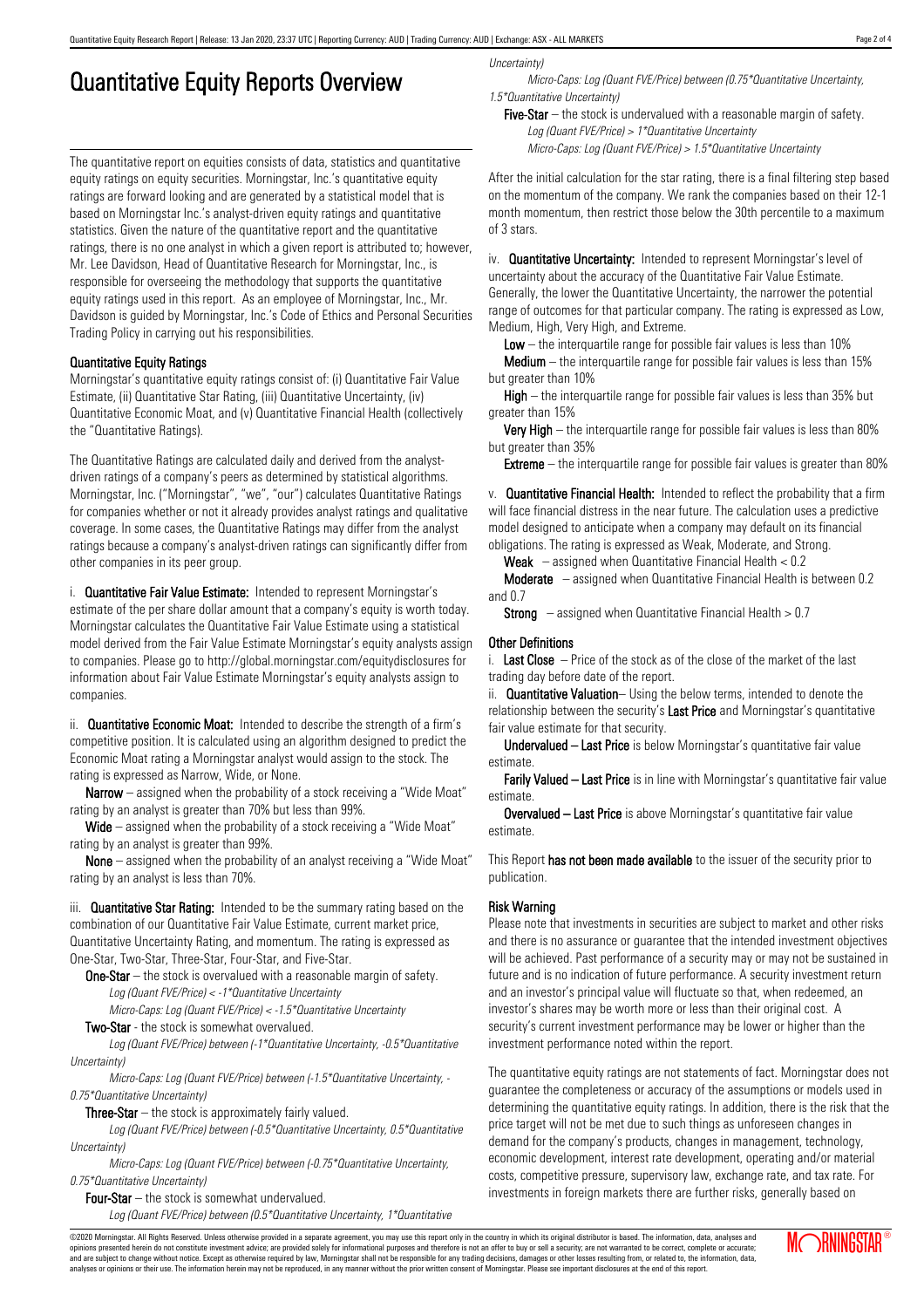## Quantitative Equity Reports Overview

The quantitative report on equities consists of data, statistics and quantitative equity ratings on equity securities. Morningstar, Inc.'s quantitative equity ratings are forward looking and are generated by a statistical model that is based on Morningstar Inc.'s analyst-driven equity ratings and quantitative statistics. Given the nature of the quantitative report and the quantitative ratings, there is no one analyst in which a given report is attributed to; however, Mr. Lee Davidson, Head of Quantitative Research for Morningstar, Inc., is responsible for overseeing the methodology that supports the quantitative equity ratings used in this report. As an employee of Morningstar, Inc., Mr. Davidson is guided by Morningstar, Inc.'s Code of Ethics and Personal Securities Trading Policy in carrying out his responsibilities.

## Quantitative Equity Ratings

Morningstar's quantitative equity ratings consist of: (i) Quantitative Fair Value Estimate, (ii) Quantitative Star Rating, (iii) Quantitative Uncertainty, (iv) Quantitative Economic Moat, and (v) Quantitative Financial Health (collectively the "Quantitative Ratings).

The Quantitative Ratings are calculated daily and derived from the analystdriven ratings of a company's peers as determined by statistical algorithms. Morningstar, Inc. ("Morningstar", "we", "our") calculates Quantitative Ratings for companies whether or not it already provides analyst ratings and qualitative coverage. In some cases, the Quantitative Ratings may differ from the analyst ratings because a company's analyst-driven ratings can significantly differ from other companies in its peer group.

i. **Quantitative Fair Value Estimate:** Intended to represent Morningstar's estimate of the per share dollar amount that a company's equity is worth today. Morningstar calculates the Quantitative Fair Value Estimate using a statistical model derived from the Fair Value Estimate Morningstar's equity analysts assign to companies. Please go to http://global.morningstar.com/equitydisclosures for information about Fair Value Estimate Morningstar's equity analysts assign to companies.

ii. **Quantitative Economic Moat:** Intended to describe the strength of a firm's competitive position. It is calculated using an algorithm designed to predict the Economic Moat rating a Morningstar analyst would assign to the stock. The rating is expressed as Narrow, Wide, or None.

**Narrow** – assigned when the probability of a stock receiving a "Wide Moat" rating by an analyst is greater than 70% but less than 99%.

Wide – assigned when the probability of a stock receiving a "Wide Moat" rating by an analyst is greater than 99%.

None – assigned when the probability of an analyst receiving a "Wide Moat" rating by an analyst is less than 70%.

iii. **Quantitative Star Rating:** Intended to be the summary rating based on the combination of our Quantitative Fair Value Estimate, current market price, Quantitative Uncertainty Rating, and momentum. The rating is expressed as One-Star, Two-Star, Three-Star, Four-Star, and Five-Star.

**One-Star** – the stock is overvalued with a reasonable margin of safety. Log (Quant FVE/Price) < -1\*Quantitative Uncertainty

Micro-Caps: Log (Quant FVE/Price) < -1.5\*Quantitative Uncertainty

Two-Star - the stock is somewhat overvalued.

Log (Quant FVE/Price) between (-1\*Quantitative Uncertainty, -0.5\*Quantitative Uncertainty)

Micro-Caps: Log (Quant FVE/Price) between (-1.5\*Quantitative Uncertainty, - 0.75\*Quantitative Uncertainty)

**Three-Star**  $-$  the stock is approximately fairly valued.

Log (Quant FVE/Price) between (-0.5\*Quantitative Uncertainty, 0.5\*Quantitative Uncertainty)

Micro-Caps: Log (Quant FVE/Price) between (-0.75\*Quantitative Uncertainty, 0.75\*Quantitative Uncertainty)

Four-Star – the stock is somewhat undervalued.

Log (Quant FVE/Price) between (0.5\*Quantitative Uncertainty, 1\*Quantitative

Uncertainty)

Micro-Caps: Log (Quant FVE/Price) between (0.75\*Quantitative Uncertainty, 1.5\*Quantitative Uncertainty)

Five-Star – the stock is undervalued with a reasonable margin of safety. Log (Quant FVE/Price) > 1\*Quantitative Uncertainty Micro-Caps: Log (Quant FVE/Price) > 1.5\*Quantitative Uncertainty

After the initial calculation for the star rating, there is a final filtering step based on the momentum of the company. We rank the companies based on their 12-1 month momentum, then restrict those below the 30th percentile to a maximum of 3 stars.

iv. **Quantitative Uncertainty:** Intended to represent Morningstar's level of uncertainty about the accuracy of the Quantitative Fair Value Estimate. Generally, the lower the Quantitative Uncertainty, the narrower the potential range of outcomes for that particular company. The rating is expressed as Low, Medium, High, Very High, and Extreme.

Low  $-$  the interquartile range for possible fair values is less than 10%

Medium – the interquartile range for possible fair values is less than 15% but greater than 10%

High – the interquartile range for possible fair values is less than 35% but greater than 15%

Very High – the interquartile range for possible fair values is less than 80% but greater than 35%

**Extreme** – the interquartile range for possible fair values is greater than 80%

v. **Quantitative Financial Health:** Intended to reflect the probability that a firm will face financial distress in the near future. The calculation uses a predictive model designed to anticipate when a company may default on its financial obligations. The rating is expressed as Weak, Moderate, and Strong.

**Weak**  $-$  assigned when Quantitative Financial Health  $< 0.2$ 

Moderate – assigned when Quantitative Financial Health is between 0.2 and 0.7

**Strong** – assigned when Quantitative Financial Health  $> 0.7$ 

## Other Definitions

i. Last Close  $-$  Price of the stock as of the close of the market of the last trading day before date of the report.

ii. **Quantitative Valuation**– Using the below terms, intended to denote the relationship between the security's Last Price and Morningstar's quantitative fair value estimate for that security.

Undervalued – Last Price is below Morningstar's quantitative fair value estimate.

Farily Valued – Last Price is in line with Morningstar's quantitative fair value estimate.

Overvalued – Last Price is above Morningstar's quantitative fair value estimate.

This Report has not been made available to the issuer of the security prior to publication.

## Risk Warning

Please note that investments in securities are subject to market and other risks and there is no assurance or guarantee that the intended investment objectives will be achieved. Past performance of a security may or may not be sustained in future and is no indication of future performance. A security investment return and an investor's principal value will fluctuate so that, when redeemed, an investor's shares may be worth more or less than their original cost. A security's current investment performance may be lower or higher than the investment performance noted within the report.

The quantitative equity ratings are not statements of fact. Morningstar does not guarantee the completeness or accuracy of the assumptions or models used in determining the quantitative equity ratings. In addition, there is the risk that the price target will not be met due to such things as unforeseen changes in demand for the company's products, changes in management, technology, economic development, interest rate development, operating and/or material costs, competitive pressure, supervisory law, exchange rate, and tax rate. For investments in foreign markets there are further risks, generally based on

©2020 Morningstar. All Rights Reserved. Unless otherwise provided in a separate agreement, you may use this report only in the country in which its original distributor is based. The information, data, analyses and<br>opinion and are subject to change without notice. Except as otherwise required by law, Morningstar shall not be responsible for any trading decisions, damages or other losses resulting from, or related to, the information, data,<br>a

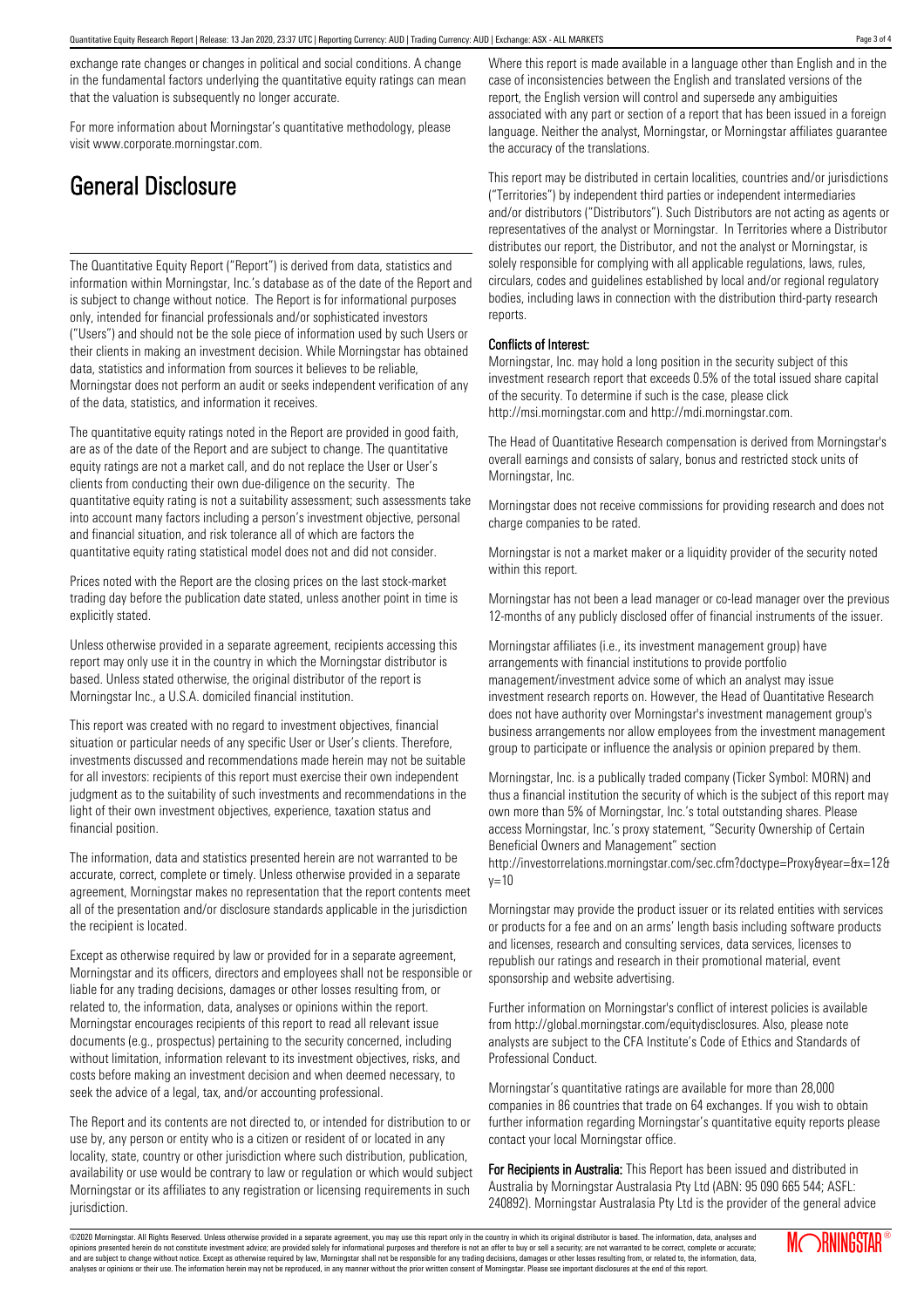exchange rate changes or changes in political and social conditions. A change in the fundamental factors underlying the quantitative equity ratings can mean that the valuation is subsequently no longer accurate.

For more information about Morningstar's quantitative methodology, please visit www.corporate.morningstar.com.

# General Disclosure

The Quantitative Equity Report ("Report") is derived from data, statistics and information within Morningstar, Inc.'s database as of the date of the Report and is subject to change without notice. The Report is for informational purposes only, intended for financial professionals and/or sophisticated investors ("Users") and should not be the sole piece of information used by such Users or their clients in making an investment decision. While Morningstar has obtained data, statistics and information from sources it believes to be reliable, Morningstar does not perform an audit or seeks independent verification of any of the data, statistics, and information it receives.

The quantitative equity ratings noted in the Report are provided in good faith, are as of the date of the Report and are subject to change. The quantitative equity ratings are not a market call, and do not replace the User or User's clients from conducting their own due-diligence on the security. The quantitative equity rating is not a suitability assessment; such assessments take into account many factors including a person's investment objective, personal and financial situation, and risk tolerance all of which are factors the quantitative equity rating statistical model does not and did not consider.

Prices noted with the Report are the closing prices on the last stock-market trading day before the publication date stated, unless another point in time is explicitly stated.

Unless otherwise provided in a separate agreement, recipients accessing this report may only use it in the country in which the Morningstar distributor is based. Unless stated otherwise, the original distributor of the report is Morningstar Inc., a U.S.A. domiciled financial institution.

This report was created with no regard to investment objectives, financial situation or particular needs of any specific User or User's clients. Therefore, investments discussed and recommendations made herein may not be suitable for all investors: recipients of this report must exercise their own independent judgment as to the suitability of such investments and recommendations in the light of their own investment objectives, experience, taxation status and financial position.

The information, data and statistics presented herein are not warranted to be accurate, correct, complete or timely. Unless otherwise provided in a separate agreement, Morningstar makes no representation that the report contents meet all of the presentation and/or disclosure standards applicable in the jurisdiction the recipient is located.

Except as otherwise required by law or provided for in a separate agreement, Morningstar and its officers, directors and employees shall not be responsible or liable for any trading decisions, damages or other losses resulting from, or related to, the information, data, analyses or opinions within the report. Morningstar encourages recipients of this report to read all relevant issue documents (e.g., prospectus) pertaining to the security concerned, including without limitation, information relevant to its investment objectives, risks, and costs before making an investment decision and when deemed necessary, to seek the advice of a legal, tax, and/or accounting professional.

The Report and its contents are not directed to, or intended for distribution to or use by, any person or entity who is a citizen or resident of or located in any locality, state, country or other jurisdiction where such distribution, publication, availability or use would be contrary to law or regulation or which would subject Morningstar or its affiliates to any registration or licensing requirements in such jurisdiction.

Where this report is made available in a language other than English and in the case of inconsistencies between the English and translated versions of the report, the English version will control and supersede any ambiguities associated with any part or section of a report that has been issued in a foreign language. Neither the analyst, Morningstar, or Morningstar affiliates guarantee the accuracy of the translations.

This report may be distributed in certain localities, countries and/or jurisdictions ("Territories") by independent third parties or independent intermediaries and/or distributors ("Distributors"). Such Distributors are not acting as agents or representatives of the analyst or Morningstar. In Territories where a Distributor distributes our report, the Distributor, and not the analyst or Morningstar, is solely responsible for complying with all applicable regulations, laws, rules, circulars, codes and guidelines established by local and/or regional regulatory bodies, including laws in connection with the distribution third-party research reports.

## Conflicts of Interest:

Morningstar, Inc. may hold a long position in the security subject of this investment research report that exceeds 0.5% of the total issued share capital of the security. To determine if such is the case, please click http://msi.morningstar.com and http://mdi.morningstar.com.

The Head of Quantitative Research compensation is derived from Morningstar's overall earnings and consists of salary, bonus and restricted stock units of Morningstar, Inc.

Morningstar does not receive commissions for providing research and does not charge companies to be rated.

Morningstar is not a market maker or a liquidity provider of the security noted within this report.

Morningstar has not been a lead manager or co-lead manager over the previous 12-months of any publicly disclosed offer of financial instruments of the issuer.

Morningstar affiliates (i.e., its investment management group) have arrangements with financial institutions to provide portfolio management/investment advice some of which an analyst may issue investment research reports on. However, the Head of Quantitative Research does not have authority over Morningstar's investment management group's business arrangements nor allow employees from the investment management group to participate or influence the analysis or opinion prepared by them.

Morningstar, Inc. is a publically traded company (Ticker Symbol: MORN) and thus a financial institution the security of which is the subject of this report may own more than 5% of Morningstar, Inc.'s total outstanding shares. Please access Morningstar, Inc.'s proxy statement, "Security Ownership of Certain Beneficial Owners and Management" section

http://investorrelations.morningstar.com/sec.cfm?doctype=Proxy&year=&x=12&  $v = 10$ 

Morningstar may provide the product issuer or its related entities with services or products for a fee and on an arms' length basis including software products and licenses, research and consulting services, data services, licenses to republish our ratings and research in their promotional material, event sponsorship and website advertising.

Further information on Morningstar's conflict of interest policies is available from http://global.morningstar.com/equitydisclosures. Also, please note analysts are subject to the CFA Institute's Code of Ethics and Standards of Professional Conduct.

Morningstar's quantitative ratings are available for more than 28,000 companies in 86 countries that trade on 64 exchanges. If you wish to obtain further information regarding Morningstar's quantitative equity reports please contact your local Morningstar office.

For Recipients in Australia: This Report has been issued and distributed in Australia by Morningstar Australasia Pty Ltd (ABN: 95 090 665 544; ASFL: 240892). Morningstar Australasia Pty Ltd is the provider of the general advice

©2020 Morningstar. All Rights Reserved. Unless otherwise provided in a separate agreement, you may use this report only in the country in which its original distributor is based. The information, data, analyses and opinions presented herein do not constitute investment advice; are provided solely for informational purposes and therefore is not an offer to buy or sell a security; are not warranted to be correct, complete or accurate; and are subject to change without notice. Except as otherwise required by law, Morningstar shall not be responsible for any trading decisions, damages or other losses resulting from, or related to, the information, data,<br>a